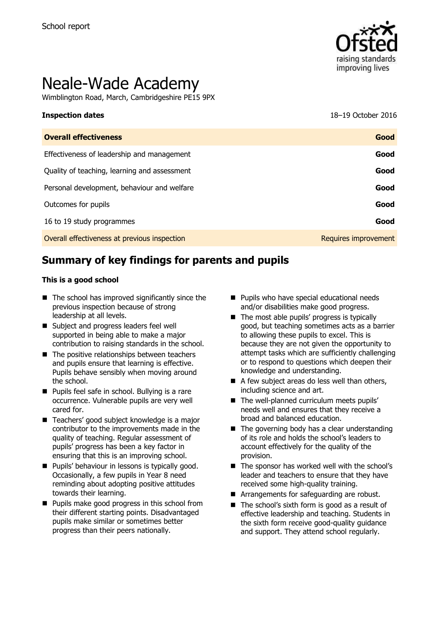

# Neale-Wade Academy

Wimblington Road, March, Cambridgeshire PE15 9PX

**Inspection dates** 18–19 October 2016

| <b>Overall effectiveness</b>                 | Good                 |
|----------------------------------------------|----------------------|
| Effectiveness of leadership and management   | Good                 |
| Quality of teaching, learning and assessment | Good                 |
| Personal development, behaviour and welfare  | Good                 |
| Outcomes for pupils                          | Good                 |
| 16 to 19 study programmes                    | Good                 |
| Overall effectiveness at previous inspection | Requires improvement |

# **Summary of key findings for parents and pupils**

#### **This is a good school**

- $\blacksquare$  The school has improved significantly since the previous inspection because of strong leadership at all levels.
- Subject and progress leaders feel well supported in being able to make a major contribution to raising standards in the school.
- $\blacksquare$  The positive relationships between teachers and pupils ensure that learning is effective. Pupils behave sensibly when moving around the school.
- **Pupils feel safe in school. Bullying is a rare** occurrence. Vulnerable pupils are very well cared for.
- Teachers' good subject knowledge is a major contributor to the improvements made in the quality of teaching. Regular assessment of pupils' progress has been a key factor in ensuring that this is an improving school.
- **Pupils' behaviour in lessons is typically good.** Occasionally, a few pupils in Year 8 need reminding about adopting positive attitudes towards their learning.
- **Pupils make good progress in this school from** their different starting points. Disadvantaged pupils make similar or sometimes better progress than their peers nationally.
- **Pupils who have special educational needs** and/or disabilities make good progress.
- $\blacksquare$  The most able pupils' progress is typically good, but teaching sometimes acts as a barrier to allowing these pupils to excel. This is because they are not given the opportunity to attempt tasks which are sufficiently challenging or to respond to questions which deepen their knowledge and understanding.
- A few subject areas do less well than others, including science and art.
- The well-planned curriculum meets pupils' needs well and ensures that they receive a broad and balanced education.
- $\blacksquare$  The governing body has a clear understanding of its role and holds the school's leaders to account effectively for the quality of the provision.
- $\blacksquare$  The sponsor has worked well with the school's leader and teachers to ensure that they have received some high-quality training.
- **Arrangements for safeguarding are robust.**
- The school's sixth form is good as a result of effective leadership and teaching. Students in the sixth form receive good-quality guidance and support. They attend school regularly.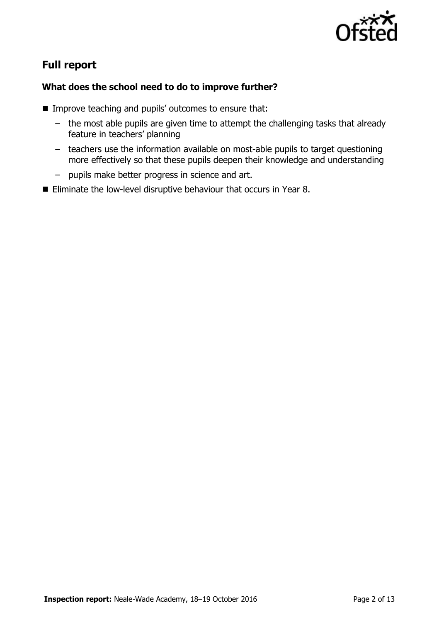

# **Full report**

### **What does the school need to do to improve further?**

- Improve teaching and pupils' outcomes to ensure that:
	- the most able pupils are given time to attempt the challenging tasks that already feature in teachers' planning
	- teachers use the information available on most-able pupils to target questioning more effectively so that these pupils deepen their knowledge and understanding
	- pupils make better progress in science and art.
- Eliminate the low-level disruptive behaviour that occurs in Year 8.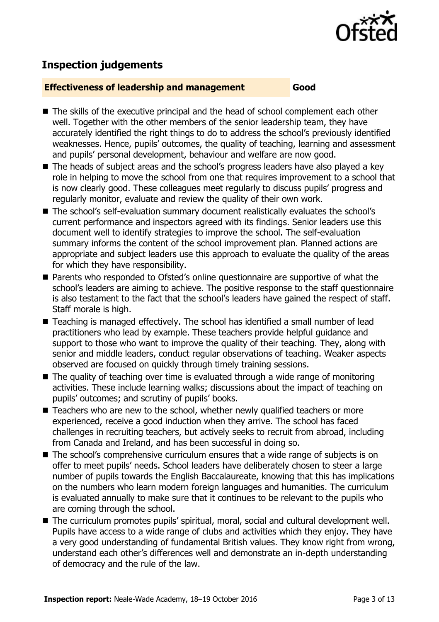

# **Inspection judgements**

#### **Effectiveness of leadership and management Good**

- The skills of the executive principal and the head of school complement each other well. Together with the other members of the senior leadership team, they have accurately identified the right things to do to address the school's previously identified weaknesses. Hence, pupils' outcomes, the quality of teaching, learning and assessment and pupils' personal development, behaviour and welfare are now good.
- The heads of subject areas and the school's progress leaders have also played a key role in helping to move the school from one that requires improvement to a school that is now clearly good. These colleagues meet regularly to discuss pupils' progress and regularly monitor, evaluate and review the quality of their own work.
- The school's self-evaluation summary document realistically evaluates the school's current performance and inspectors agreed with its findings. Senior leaders use this document well to identify strategies to improve the school. The self-evaluation summary informs the content of the school improvement plan. Planned actions are appropriate and subject leaders use this approach to evaluate the quality of the areas for which they have responsibility.
- Parents who responded to Ofsted's online questionnaire are supportive of what the school's leaders are aiming to achieve. The positive response to the staff questionnaire is also testament to the fact that the school's leaders have gained the respect of staff. Staff morale is high.
- Teaching is managed effectively. The school has identified a small number of lead practitioners who lead by example. These teachers provide helpful guidance and support to those who want to improve the quality of their teaching. They, along with senior and middle leaders, conduct regular observations of teaching. Weaker aspects observed are focused on quickly through timely training sessions.
- $\blacksquare$  The quality of teaching over time is evaluated through a wide range of monitoring activities. These include learning walks; discussions about the impact of teaching on pupils' outcomes; and scrutiny of pupils' books.
- Teachers who are new to the school, whether newly qualified teachers or more experienced, receive a good induction when they arrive. The school has faced challenges in recruiting teachers, but actively seeks to recruit from abroad, including from Canada and Ireland, and has been successful in doing so.
- The school's comprehensive curriculum ensures that a wide range of subjects is on offer to meet pupils' needs. School leaders have deliberately chosen to steer a large number of pupils towards the English Baccalaureate, knowing that this has implications on the numbers who learn modern foreign languages and humanities. The curriculum is evaluated annually to make sure that it continues to be relevant to the pupils who are coming through the school.
- The curriculum promotes pupils' spiritual, moral, social and cultural development well. Pupils have access to a wide range of clubs and activities which they enjoy. They have a very good understanding of fundamental British values. They know right from wrong, understand each other's differences well and demonstrate an in-depth understanding of democracy and the rule of the law.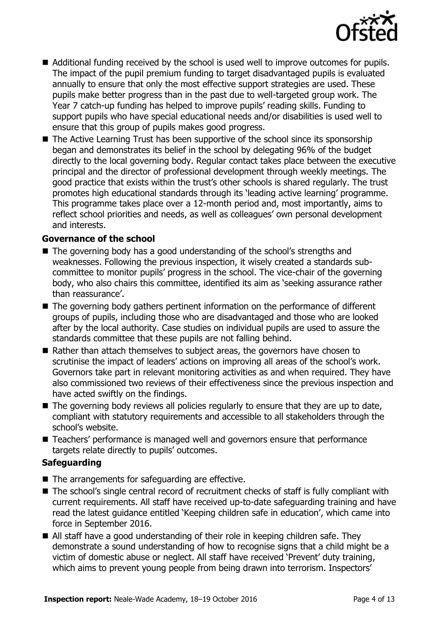

- Additional funding received by the school is used well to improve outcomes for pupils. The impact of the pupil premium funding to target disadvantaged pupils is evaluated annually to ensure that only the most effective support strategies are used. These pupils make better progress than in the past due to well-targeted group work. The Year 7 catch-up funding has helped to improve pupils' reading skills. Funding to support pupils who have special educational needs and/or disabilities is used well to ensure that this group of pupils makes good progress.
- The Active Learning Trust has been supportive of the school since its sponsorship began and demonstrates its belief in the school by delegating 96% of the budget directly to the local governing body. Regular contact takes place between the executive principal and the director of professional development through weekly meetings. The good practice that exists within the trust's other schools is shared regularly. The trust promotes high educational standards through its 'leading active learning' programme. This programme takes place over a 12-month period and, most importantly, aims to reflect school priorities and needs, as well as colleagues' own personal development and interests.

#### **Governance of the school**

- The governing body has a good understanding of the school's strengths and weaknesses. Following the previous inspection, it wisely created a standards subcommittee to monitor pupils' progress in the school. The vice-chair of the governing body, who also chairs this committee, identified its aim as 'seeking assurance rather than reassurance'.
- The governing body gathers pertinent information on the performance of different groups of pupils, including those who are disadvantaged and those who are looked after by the local authority. Case studies on individual pupils are used to assure the standards committee that these pupils are not falling behind.
- Rather than attach themselves to subject areas, the governors have chosen to scrutinise the impact of leaders' actions on improving all areas of the school's work. Governors take part in relevant monitoring activities as and when required. They have also commissioned two reviews of their effectiveness since the previous inspection and have acted swiftly on the findings.
- The governing body reviews all policies regularly to ensure that they are up to date, compliant with statutory requirements and accessible to all stakeholders through the school's website.
- Teachers' performance is managed well and governors ensure that performance targets relate directly to pupils' outcomes.

#### **Safeguarding**

- $\blacksquare$  The arrangements for safeguarding are effective.
- The school's single central record of recruitment checks of staff is fully compliant with current requirements. All staff have received up-to-date safeguarding training and have read the latest guidance entitled 'Keeping children safe in education', which came into force in September 2016.
- All staff have a good understanding of their role in keeping children safe. They demonstrate a sound understanding of how to recognise signs that a child might be a victim of domestic abuse or neglect. All staff have received 'Prevent' duty training, which aims to prevent young people from being drawn into terrorism. Inspectors'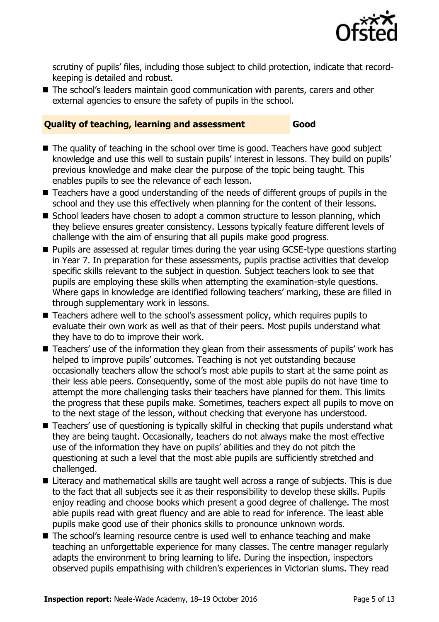

scrutiny of pupils' files, including those subject to child protection, indicate that recordkeeping is detailed and robust.

■ The school's leaders maintain good communication with parents, carers and other external agencies to ensure the safety of pupils in the school.

#### **Quality of teaching, learning and assessment Good**

- The quality of teaching in the school over time is good. Teachers have good subject knowledge and use this well to sustain pupils' interest in lessons. They build on pupils' previous knowledge and make clear the purpose of the topic being taught. This enables pupils to see the relevance of each lesson.
- Teachers have a good understanding of the needs of different groups of pupils in the school and they use this effectively when planning for the content of their lessons.
- School leaders have chosen to adopt a common structure to lesson planning, which they believe ensures greater consistency. Lessons typically feature different levels of challenge with the aim of ensuring that all pupils make good progress.
- Pupils are assessed at regular times during the year using GCSE-type questions starting in Year 7. In preparation for these assessments, pupils practise activities that develop specific skills relevant to the subject in question. Subject teachers look to see that pupils are employing these skills when attempting the examination-style questions. Where gaps in knowledge are identified following teachers' marking, these are filled in through supplementary work in lessons.
- Teachers adhere well to the school's assessment policy, which requires pupils to evaluate their own work as well as that of their peers. Most pupils understand what they have to do to improve their work.
- Teachers' use of the information they glean from their assessments of pupils' work has helped to improve pupils' outcomes. Teaching is not yet outstanding because occasionally teachers allow the school's most able pupils to start at the same point as their less able peers. Consequently, some of the most able pupils do not have time to attempt the more challenging tasks their teachers have planned for them. This limits the progress that these pupils make. Sometimes, teachers expect all pupils to move on to the next stage of the lesson, without checking that everyone has understood.
- Teachers' use of questioning is typically skilful in checking that pupils understand what they are being taught. Occasionally, teachers do not always make the most effective use of the information they have on pupils' abilities and they do not pitch the questioning at such a level that the most able pupils are sufficiently stretched and challenged.
- Literacy and mathematical skills are taught well across a range of subjects. This is due to the fact that all subjects see it as their responsibility to develop these skills. Pupils enjoy reading and choose books which present a good degree of challenge. The most able pupils read with great fluency and are able to read for inference. The least able pupils make good use of their phonics skills to pronounce unknown words.
- The school's learning resource centre is used well to enhance teaching and make teaching an unforgettable experience for many classes. The centre manager regularly adapts the environment to bring learning to life. During the inspection, inspectors observed pupils empathising with children's experiences in Victorian slums. They read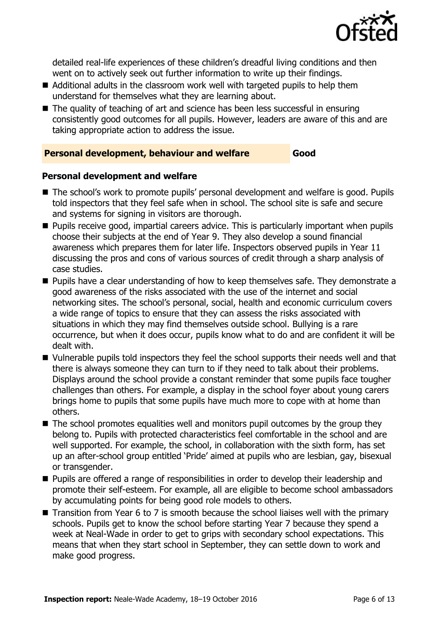

detailed real-life experiences of these children's dreadful living conditions and then went on to actively seek out further information to write up their findings.

- Additional adults in the classroom work well with targeted pupils to help them understand for themselves what they are learning about.
- The quality of teaching of art and science has been less successful in ensuring consistently good outcomes for all pupils. However, leaders are aware of this and are taking appropriate action to address the issue.

#### **Personal development, behaviour and welfare Good**

#### **Personal development and welfare**

- The school's work to promote pupils' personal development and welfare is good. Pupils told inspectors that they feel safe when in school. The school site is safe and secure and systems for signing in visitors are thorough.
- **Pupils receive good, impartial careers advice. This is particularly important when pupils** choose their subjects at the end of Year 9. They also develop a sound financial awareness which prepares them for later life. Inspectors observed pupils in Year 11 discussing the pros and cons of various sources of credit through a sharp analysis of case studies.
- **Pupils have a clear understanding of how to keep themselves safe. They demonstrate a** good awareness of the risks associated with the use of the internet and social networking sites. The school's personal, social, health and economic curriculum covers a wide range of topics to ensure that they can assess the risks associated with situations in which they may find themselves outside school. Bullying is a rare occurrence, but when it does occur, pupils know what to do and are confident it will be dealt with.
- Uulnerable pupils told inspectors they feel the school supports their needs well and that there is always someone they can turn to if they need to talk about their problems. Displays around the school provide a constant reminder that some pupils face tougher challenges than others. For example, a display in the school foyer about young carers brings home to pupils that some pupils have much more to cope with at home than others.
- $\blacksquare$  The school promotes equalities well and monitors pupil outcomes by the group they belong to. Pupils with protected characteristics feel comfortable in the school and are well supported. For example, the school, in collaboration with the sixth form, has set up an after-school group entitled 'Pride' aimed at pupils who are lesbian, gay, bisexual or transgender.
- **Pupils are offered a range of responsibilities in order to develop their leadership and** promote their self-esteem. For example, all are eligible to become school ambassadors by accumulating points for being good role models to others.
- $\blacksquare$  Transition from Year 6 to 7 is smooth because the school liaises well with the primary schools. Pupils get to know the school before starting Year 7 because they spend a week at Neal-Wade in order to get to grips with secondary school expectations. This means that when they start school in September, they can settle down to work and make good progress.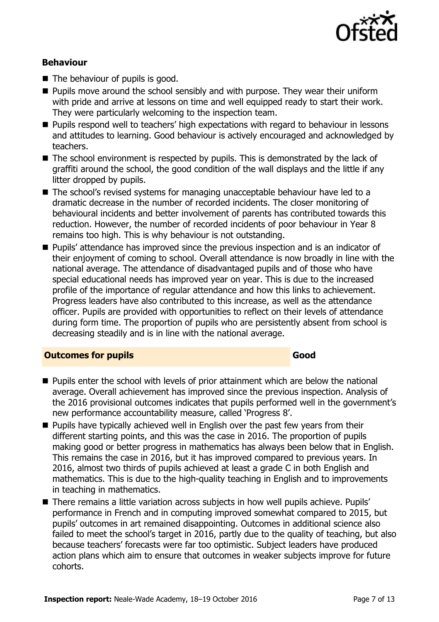

#### **Behaviour**

- $\blacksquare$  The behaviour of pupils is good.
- **Pupils move around the school sensibly and with purpose. They wear their uniform** with pride and arrive at lessons on time and well equipped ready to start their work. They were particularly welcoming to the inspection team.
- **Pupils respond well to teachers' high expectations with regard to behaviour in lessons** and attitudes to learning. Good behaviour is actively encouraged and acknowledged by teachers.
- The school environment is respected by pupils. This is demonstrated by the lack of graffiti around the school, the good condition of the wall displays and the little if any litter dropped by pupils.
- The school's revised systems for managing unacceptable behaviour have led to a dramatic decrease in the number of recorded incidents. The closer monitoring of behavioural incidents and better involvement of parents has contributed towards this reduction. However, the number of recorded incidents of poor behaviour in Year 8 remains too high. This is why behaviour is not outstanding.
- **Pupils'** attendance has improved since the previous inspection and is an indicator of their enjoyment of coming to school. Overall attendance is now broadly in line with the national average. The attendance of disadvantaged pupils and of those who have special educational needs has improved year on year. This is due to the increased profile of the importance of regular attendance and how this links to achievement. Progress leaders have also contributed to this increase, as well as the attendance officer. Pupils are provided with opportunities to reflect on their levels of attendance during form time. The proportion of pupils who are persistently absent from school is decreasing steadily and is in line with the national average.

#### **Outcomes for pupils Good**

- **Pupils enter the school with levels of prior attainment which are below the national** average. Overall achievement has improved since the previous inspection. Analysis of the 2016 provisional outcomes indicates that pupils performed well in the government's new performance accountability measure, called 'Progress 8'.
- **Pupils have typically achieved well in English over the past few years from their** different starting points, and this was the case in 2016. The proportion of pupils making good or better progress in mathematics has always been below that in English. This remains the case in 2016, but it has improved compared to previous years. In 2016, almost two thirds of pupils achieved at least a grade C in both English and mathematics. This is due to the high-quality teaching in English and to improvements in teaching in mathematics.
- There remains a little variation across subjects in how well pupils achieve. Pupils' performance in French and in computing improved somewhat compared to 2015, but pupils' outcomes in art remained disappointing. Outcomes in additional science also failed to meet the school's target in 2016, partly due to the quality of teaching, but also because teachers' forecasts were far too optimistic. Subject leaders have produced action plans which aim to ensure that outcomes in weaker subjects improve for future cohorts.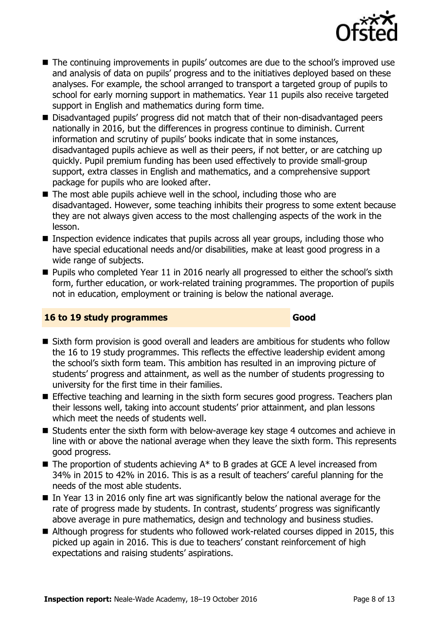

- The continuing improvements in pupils' outcomes are due to the school's improved use and analysis of data on pupils' progress and to the initiatives deployed based on these analyses. For example, the school arranged to transport a targeted group of pupils to school for early morning support in mathematics. Year 11 pupils also receive targeted support in English and mathematics during form time.
- Disadvantaged pupils' progress did not match that of their non-disadvantaged peers nationally in 2016, but the differences in progress continue to diminish. Current information and scrutiny of pupils' books indicate that in some instances, disadvantaged pupils achieve as well as their peers, if not better, or are catching up quickly. Pupil premium funding has been used effectively to provide small-group support, extra classes in English and mathematics, and a comprehensive support package for pupils who are looked after.
- $\blacksquare$  The most able pupils achieve well in the school, including those who are disadvantaged. However, some teaching inhibits their progress to some extent because they are not always given access to the most challenging aspects of the work in the lesson.
- **Inspection evidence indicates that pupils across all year groups, including those who** have special educational needs and/or disabilities, make at least good progress in a wide range of subjects.
- **Pupils who completed Year 11 in 2016 nearly all progressed to either the school's sixth** form, further education, or work-related training programmes. The proportion of pupils not in education, employment or training is below the national average.

### **16 to 19 study programmes Good**

- Sixth form provision is good overall and leaders are ambitious for students who follow the 16 to 19 study programmes. This reflects the effective leadership evident among the school's sixth form team. This ambition has resulted in an improving picture of students' progress and attainment, as well as the number of students progressing to university for the first time in their families.
- **Effective teaching and learning in the sixth form secures good progress. Teachers plan** their lessons well, taking into account students' prior attainment, and plan lessons which meet the needs of students well.
- Students enter the sixth form with below-average key stage 4 outcomes and achieve in line with or above the national average when they leave the sixth form. This represents good progress.
- $\blacksquare$  The proportion of students achieving  $A^*$  to B grades at GCE A level increased from 34% in 2015 to 42% in 2016. This is as a result of teachers' careful planning for the needs of the most able students.
- $\blacksquare$  In Year 13 in 2016 only fine art was significantly below the national average for the rate of progress made by students. In contrast, students' progress was significantly above average in pure mathematics, design and technology and business studies.
- Although progress for students who followed work-related courses dipped in 2015, this picked up again in 2016. This is due to teachers' constant reinforcement of high expectations and raising students' aspirations.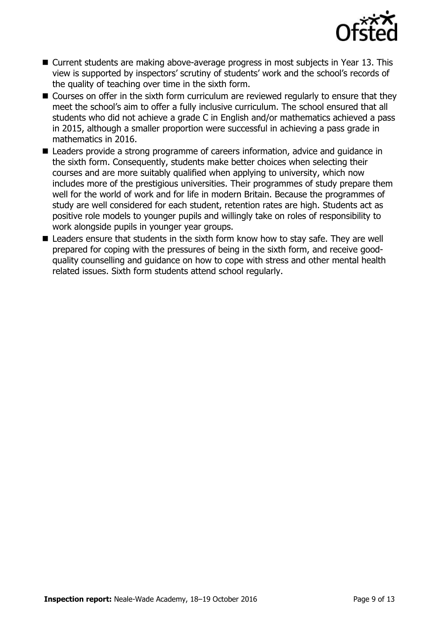

- Current students are making above-average progress in most subjects in Year 13. This view is supported by inspectors' scrutiny of students' work and the school's records of the quality of teaching over time in the sixth form.
- Courses on offer in the sixth form curriculum are reviewed regularly to ensure that they meet the school's aim to offer a fully inclusive curriculum. The school ensured that all students who did not achieve a grade C in English and/or mathematics achieved a pass in 2015, although a smaller proportion were successful in achieving a pass grade in mathematics in 2016.
- Leaders provide a strong programme of careers information, advice and guidance in the sixth form. Consequently, students make better choices when selecting their courses and are more suitably qualified when applying to university, which now includes more of the prestigious universities. Their programmes of study prepare them well for the world of work and for life in modern Britain. Because the programmes of study are well considered for each student, retention rates are high. Students act as positive role models to younger pupils and willingly take on roles of responsibility to work alongside pupils in younger year groups.
- Leaders ensure that students in the sixth form know how to stay safe. They are well prepared for coping with the pressures of being in the sixth form, and receive goodquality counselling and guidance on how to cope with stress and other mental health related issues. Sixth form students attend school regularly.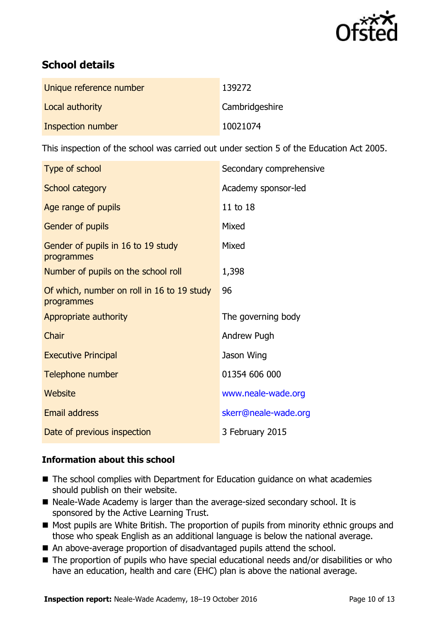

# **School details**

| Unique reference number | 139272         |
|-------------------------|----------------|
| Local authority         | Cambridgeshire |
| Inspection number       | 10021074       |

This inspection of the school was carried out under section 5 of the Education Act 2005.

| Type of school                                           | Secondary comprehensive |
|----------------------------------------------------------|-------------------------|
| School category                                          | Academy sponsor-led     |
| Age range of pupils                                      | 11 to 18                |
| <b>Gender of pupils</b>                                  | Mixed                   |
| Gender of pupils in 16 to 19 study<br>programmes         | Mixed                   |
| Number of pupils on the school roll                      | 1,398                   |
| Of which, number on roll in 16 to 19 study<br>programmes | 96                      |
| Appropriate authority                                    | The governing body      |
| Chair                                                    | Andrew Pugh             |
| <b>Executive Principal</b>                               | Jason Wing              |
| Telephone number                                         | 01354 606 000           |
| <b>Website</b>                                           | www.neale-wade.org      |
| Email address                                            | skerr@neale-wade.org    |
| Date of previous inspection                              | 3 February 2015         |

### **Information about this school**

- The school complies with Department for Education guidance on what academies should publish on their website.
- Neale-Wade Academy is larger than the average-sized secondary school. It is sponsored by the Active Learning Trust.
- Most pupils are White British. The proportion of pupils from minority ethnic groups and those who speak English as an additional language is below the national average.
- An above-average proportion of disadvantaged pupils attend the school.
- The proportion of pupils who have special educational needs and/or disabilities or who have an education, health and care (EHC) plan is above the national average.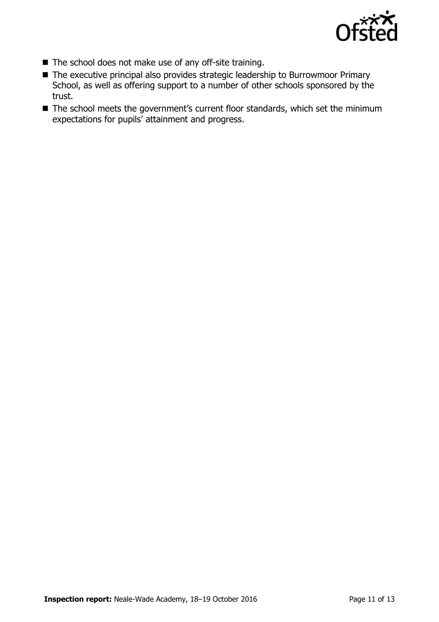

- The school does not make use of any off-site training.
- The executive principal also provides strategic leadership to Burrowmoor Primary School, as well as offering support to a number of other schools sponsored by the trust.
- The school meets the government's current floor standards, which set the minimum expectations for pupils' attainment and progress.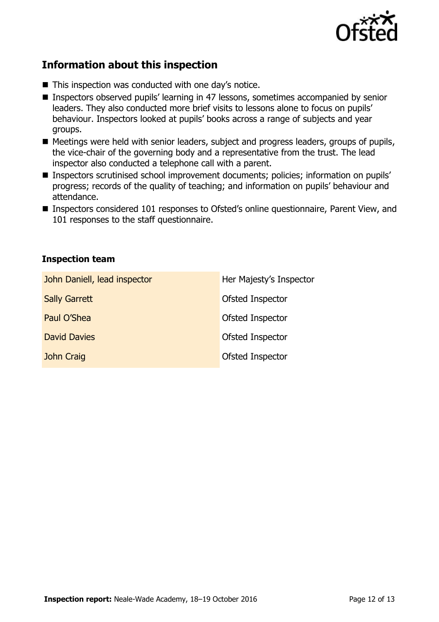

# **Information about this inspection**

- This inspection was conducted with one day's notice.
- Inspectors observed pupils' learning in 47 lessons, sometimes accompanied by senior leaders. They also conducted more brief visits to lessons alone to focus on pupils' behaviour. Inspectors looked at pupils' books across a range of subjects and year groups.
- Meetings were held with senior leaders, subject and progress leaders, groups of pupils, the vice-chair of the governing body and a representative from the trust. The lead inspector also conducted a telephone call with a parent.
- Inspectors scrutinised school improvement documents; policies; information on pupils' progress; records of the quality of teaching; and information on pupils' behaviour and attendance.
- Inspectors considered 101 responses to Ofsted's online questionnaire, Parent View, and 101 responses to the staff questionnaire.

#### **Inspection team**

| John Daniell, lead inspector | Her Majesty's Inspector |
|------------------------------|-------------------------|
| <b>Sally Garrett</b>         | Ofsted Inspector        |
| Paul O'Shea                  | Ofsted Inspector        |
| <b>David Davies</b>          | Ofsted Inspector        |
| John Craig                   | Ofsted Inspector        |